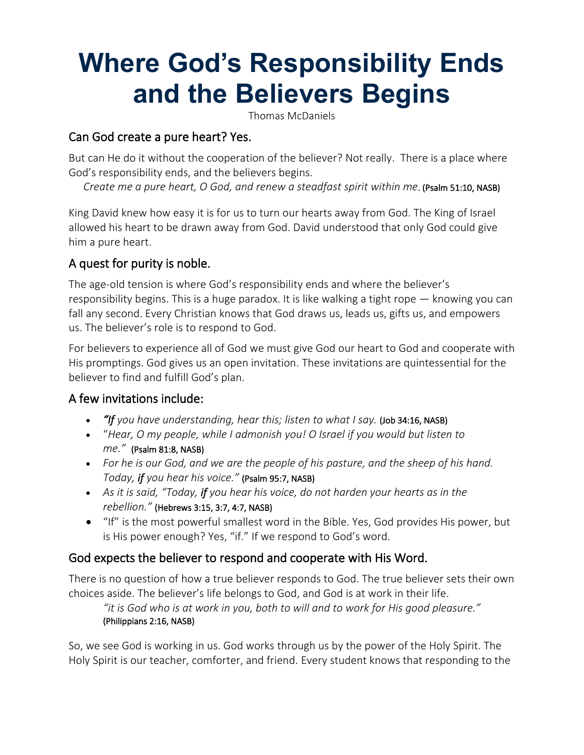# **Where God's Responsibility Ends and the Believers Begins**

Thomas [McDaniels](https://thomasmcdaniels.com/author/tomlife/)

### Can God create a pure heart? Yes.

But can He do it without the cooperation of the believer? Not really. There is a place where God's responsibility ends, and the believers begins.

*Create me a pure heart, O God, and renew a steadfast spirit within me*. (Psalm 51:10, NASB)

King David knew how easy it is for us to turn our hearts away from God. The King of Israel allowed his heart to be drawn away from God. David understood that only God could give him a pure heart.

## A quest for purity is noble.

The age-old tension is where God's responsibility ends and where the believer's responsibility begins. This is a huge paradox. It is like walking a tight rope — knowing you can fall any second. Every Christian knows that God draws us, leads us, gifts us, and empowers us. The believer's role is to respond to God.

For believers to experience all of God we must give God our heart to God and cooperate with His promptings. God gives us an open invitation. These invitations are quintessential for the believer to find and fulfill God's plan.

### A few invitations include:

- *"If you have understanding, hear this; listen to what I say.* (Job 34:16, NASB)
- "*Hear, O my people, while I admonish you! O Israel if you would but listen to me."* (Psalm 81:8, NASB)
- *For he is our God, and we are the people of his pasture, and the sheep of his hand. Today, if you hear his voice."* (Psalm 95:7, NASB)
- *As it is said, "Today, if you hear his voice, do not harden your hearts as in the rebellion."* [\(Hebrews 3:15,](https://biblia.com/bible/nasb95/Heb%203.15) [3:7,](https://biblia.com/bible/nasb95/Hebrews%203.7) [4:7, N](https://biblia.com/bible/nasb95/Hebrews%204.7)ASB)
- "If" is the most powerful smallest word in the Bible. Yes, God provides His power, but is His power enough? Yes, "if." If we respond to God's word.

### God expects the believer to respond and cooperate with His Word.

There is no question of how a true believer responds to God. The true believer sets their own choices aside. The believer's life belongs to God, and God is at work in their life.

*"it is God who is at work in you, both to will and to work for His good pleasure."* (Philippians 2:16, NASB)

So, we see God is working in us. God works through us by the power of the Holy Spirit. The Holy Spirit is our teacher, comforter, and friend. Every student knows that responding to the